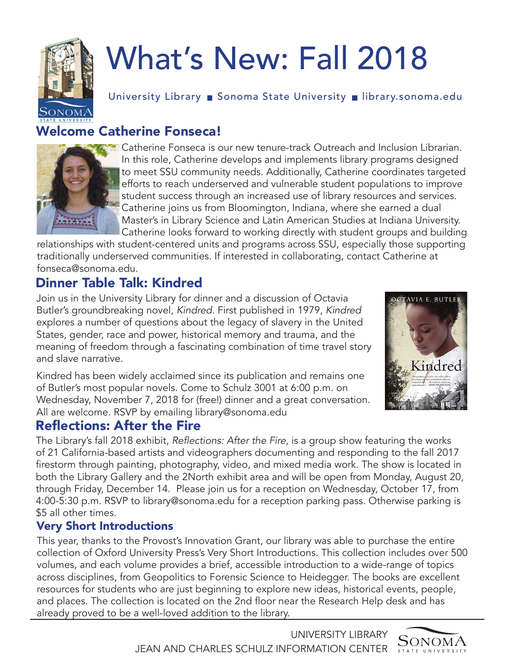

# What's New: Fall 2018

University Library ■ Sonoma State University ■ library.sonoma.edu

# Welcome Catherine Fonseca!



Catherine Fonseca is our new tenure-track Outreach and Inclusion Librarian. In this role, Catherine develops and implements library programs designed to meet SSU community needs. Additionally, Catherine coordinates targeted efforts to reach underserved and vulnerable student populations to improve student success through an increased use of library resources and services. Catherine joins us from Bloomington, Indiana, where she earned a dual Master's in Library Science and Latin American Studies at Indiana University. Catherine looks forward to working directly with student groups and building

relationships with student-centered units and programs across SSU, especially those supporting traditionally underserved communities. If interested in collaborating, contact Catherine at fonseca@sonoma.edu.

# Dinner Table Talk: Kindred

Join us in the University Library for dinner and a discussion of Octavia Butler's groundbreaking novel, *Kindred*. First published in 1979, *Kindred* explores a number of questions about the legacy of slavery in the United States, gender, race and power, historical memory and trauma, and the meaning of freedom through a fascinating combination of time travel story and slave narrative.

Kindred has been widely acclaimed since its publication and remains one of Butler's most popular novels. Come to Schulz 3001 at 6:00 p.m. on Wednesday, November 7, 2018 for (free!) dinner and a great conversation. All are welcome. RSVP by emailing library@sonoma.edu

#### Reflections: After the Fire

The Library's fall 2018 exhibit, Reflections: After the Fire, is a group show featuring the works of 21 California-based artists and videographers documenting and responding to the fall 2017 firestorm through painting, photography, video, and mixed media work. The show is located in both the Library Gallery and the 2North exhibit area and will be open from Monday, August 20, through Friday, December 14. Please join us for a reception on Wednesday, October 17, from 4:00-5:30 p.m. RSVP to library@sonoma.edu for a reception parking pass. Otherwise parking is \$5 all other times.

#### Very Short Introductions

This year, thanks to the Provost's Innovation Grant, our library was able to purchase the entire collection of Oxford University Press's Very Short Introductions. This collection includes over 500 volumes, and each volume provides a brief, accessible introduction to a wide-range of topics across disciplines, from Geopolitics to Forensic Science to Heidegger. The books are excellent resources for students who are just beginning to explore new ideas, historical events, people, and places. The collection is located on the 2nd floor near the Research Help desk and has already proved to be a well-loved addition to the library.



UNIVERSITY LIBRARY JEAN AND CHARLES SCHULZ INFORMATION CENTER